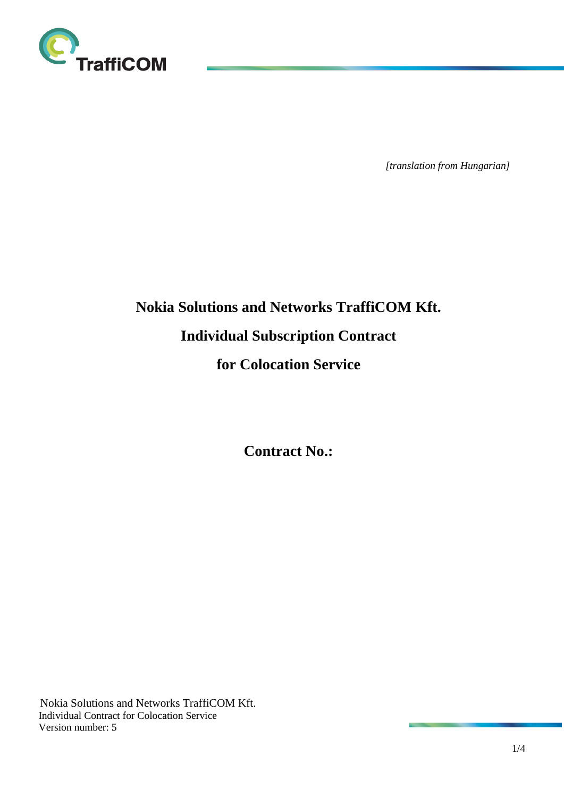

*[translation from Hungarian]*

# **Nokia Solutions and Networks TraffiCOM Kft. Individual Subscription Contract for Colocation Service**

**Contract No.:**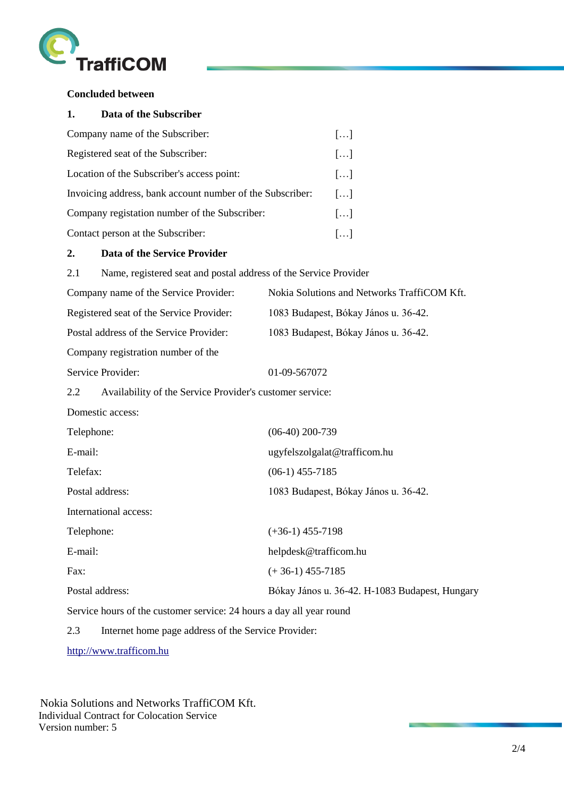

## **Concluded between**

| 1.<br>Data of the Subscriber                              |                       |
|-----------------------------------------------------------|-----------------------|
| Company name of the Subscriber:                           | []                    |
| Registered seat of the Subscriber:                        | $\left[\ldots\right]$ |
| Location of the Subscriber's access point:                | $\left[\ldots\right]$ |
| Invoicing address, bank account number of the Subscriber: | []                    |
| Company registation number of the Subscriber:             | []                    |
| Contact person at the Subscriber:                         | $\left[\ldots\right]$ |

#### **2. Data of the Service Provider**

2.1 Name, registered seat and postal address of the Service Provider

| Company name of the Service Provider:                           | Nokia Solutions and Networks TraffiCOM Kft.    |
|-----------------------------------------------------------------|------------------------------------------------|
| Registered seat of the Service Provider:                        | 1083 Budapest, Bókay János u. 36-42.           |
| Postal address of the Service Provider:                         | 1083 Budapest, Bókay János u. 36-42.           |
| Company registration number of the                              |                                                |
| Service Provider:                                               | 01-09-567072                                   |
| 2.2<br>Availability of the Service Provider's customer service: |                                                |
| Domestic access:                                                |                                                |
| Telephone:                                                      | $(06-40)$ 200-739                              |
| E-mail:                                                         | ugyfelszolgalat@trafficom.hu                   |
| Telefax:                                                        | $(06-1)$ 455-7185                              |
| Postal address:                                                 | 1083 Budapest, Bókay János u. 36-42.           |
| International access:                                           |                                                |
| Telephone:                                                      | $(+36-1)$ 455-7198                             |
| E-mail:                                                         | helpdesk@trafficom.hu                          |
| Fax:                                                            | $(+36-1)$ 455-7185                             |
| Postal address:                                                 | Bókay János u. 36-42. H-1083 Budapest, Hungary |
|                                                                 |                                                |

Service hours of the customer service: 24 hours a day all year round

2.3 Internet home page address of the Service Provider:

[http://www.trafficom.hu](http://www.trafficom.hu/)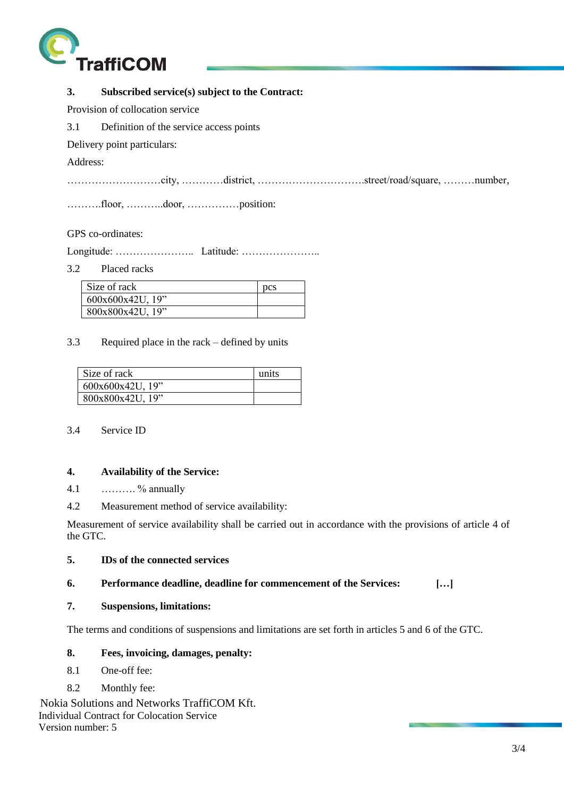

# **3. Subscribed service(s) subject to the Contract:**

Provision of collocation service

3.1 Definition of the service access points

Delivery point particulars:

Address:

………………………city, …………district, ………………………….street/road/square, ………number,

……….floor, ………..door, ……………position:

#### GPS co-ordinates:

Longitude: ………………….. Latitude: …………………..

3.2 Placed racks

| Size of rack     | <b>pcs</b> |
|------------------|------------|
|                  |            |
| 600x600x42U, 19  |            |
| 800x800x42U, 19" |            |

#### 3.3 Required place in the rack – defined by units

| Size of rack     | units |
|------------------|-------|
| 600x600x42U, 19" |       |
| 800x800x42U, 19" |       |

#### 3.4 Service ID

#### **4. Availability of the Service:**

4.1 ………. % annually

4.2 Measurement method of service availability:

Measurement of service availability shall be carried out in accordance with the provisions of article 4 of the GTC.

## **5. IDs of the connected services**

#### **6. Performance deadline, deadline for commencement of the Services: […]**

## **7. Suspensions, limitations:**

The terms and conditions of suspensions and limitations are set forth in articles 5 and 6 of the GTC.

# **8. Fees, invoicing, damages, penalty:**

- 8.1 One-off fee:
- 8.2 Monthly fee: